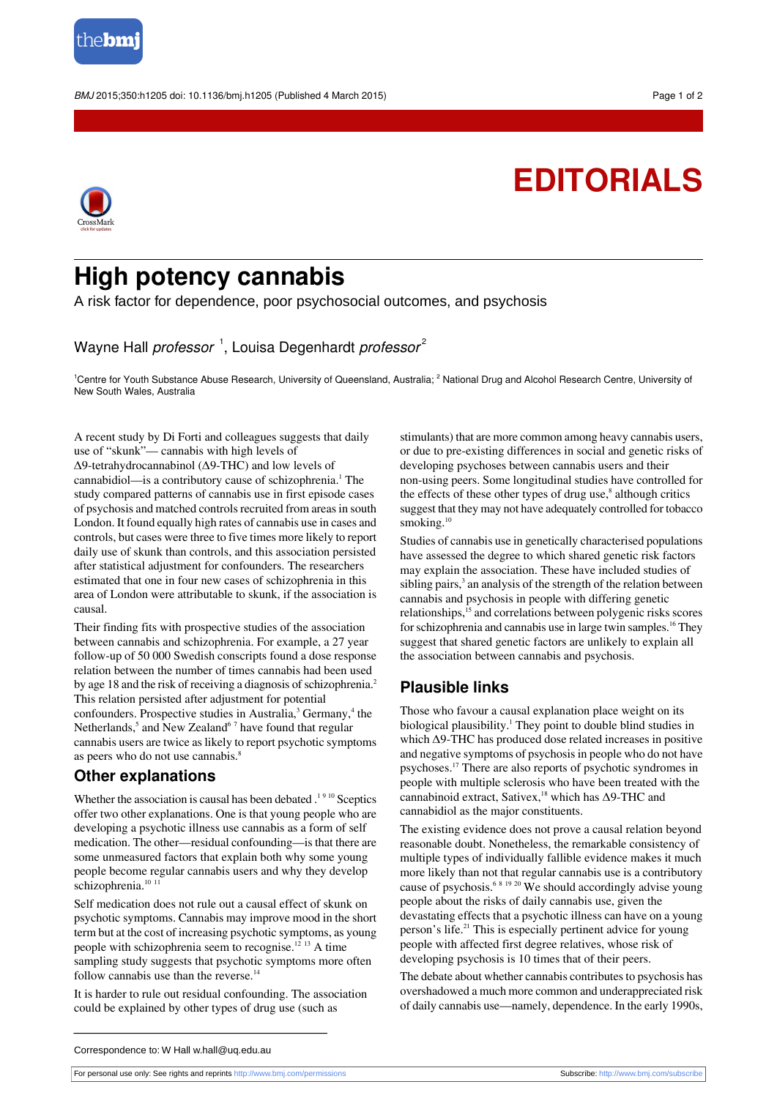

BMJ 2015;350:h1205 doi: 10.1136/bmj.h1205 (Published 4 March 2015) Page 1 of 2

# **EDITORIALS**



## **High potency cannabis**

A risk factor for dependence, poor psychosocial outcomes, and psychosis

Wayne Hall *professor* <sup>1</sup>, Louisa Degenhardt *professor<sup>2</sup>* 

<sup>1</sup>Centre for Youth Substance Abuse Research, University of Queensland, Australia; <sup>2</sup> National Drug and Alcohol Research Centre, University of New South Wales, Australia

A recent study by Di Forti and colleagues suggests that daily use of "skunk"— cannabis with high levels of Δ9-tetrahydrocannabinol (Δ9-THC) and low levels of cannabidiol—is a contributory cause of schizophrenia.<sup>1</sup> The study compared patterns of cannabis use in first episode cases of psychosis and matched controls recruited from areas in south London. It found equally high rates of cannabis use in cases and controls, but cases were three to five times more likely to report daily use of skunk than controls, and this association persisted after statistical adjustment for confounders. The researchers estimated that one in four new cases of schizophrenia in this area of London were attributable to skunk, if the association is causal.

Their finding fits with prospective studies of the association between cannabis and schizophrenia. For example, a 27 year follow-up of 50 000 Swedish conscripts found a dose response relation between the number of times cannabis had been used by age 18 and the risk of receiving a diagnosis of schizophrenia.<sup>2</sup> This relation persisted after adjustment for potential confounders. Prospective studies in Australia,<sup>3</sup> Germany,<sup>4</sup> the Netherlands, $5$  and New Zealand $67$  have found that regular cannabis users are twice as likely to report psychotic symptoms as peers who do not use cannabis.<sup>8</sup>

#### **Other explanations**

Whether the association is causal has been debated  $1^{19}$  10 Sceptics offer two other explanations. One is that young people who are developing a psychotic illness use cannabis as a form of self medication. The other—residual confounding—is that there are some unmeasured factors that explain both why some young people become regular cannabis users and why they develop schizophrenia.<sup>10 11</sup>

Self medication does not rule out a causal effect of skunk on psychotic symptoms. Cannabis may improve mood in the short term but at the cost of increasing psychotic symptoms, as young people with schizophrenia seem to recognise.<sup>12</sup> <sup>13</sup> A time sampling study suggests that psychotic symptoms more often follow cannabis use than the reverse. $14$ 

It is harder to rule out residual confounding. The association could be explained by other types of drug use (such as

stimulants) that are more common among heavy cannabis users, or due to pre-existing differences in social and genetic risks of developing psychoses between cannabis users and their non-using peers. Some longitudinal studies have controlled for the effects of these other types of drug use,<sup>8</sup> although critics suggest that they may not have adequately controlled for tobacco smoking.<sup>10</sup>

Studies of cannabis use in genetically characterised populations have assessed the degree to which shared genetic risk factors may explain the association. These have included studies of sibling pairs, $3$  an analysis of the strength of the relation between cannabis and psychosis in people with differing genetic relationships,<sup>15</sup> and correlations between polygenic risks scores for schizophrenia and cannabis use in large twin samples.<sup>16</sup> They suggest that shared genetic factors are unlikely to explain all the association between cannabis and psychosis.

### **Plausible links**

Those who favour a causal explanation place weight on its biological plausibility.<sup>1</sup> They point to double blind studies in which Δ9-THC has produced dose related increases in positive and negative symptoms of psychosisin people who do not have psychoses.<sup>17</sup> There are also reports of psychotic syndromes in people with multiple sclerosis who have been treated with the cannabinoid extract, Sativex,<sup>18</sup> which has  $\Delta$ 9-THC and cannabidiol as the major constituents.

The existing evidence does not prove a causal relation beyond reasonable doubt. Nonetheless, the remarkable consistency of multiple types of individually fallible evidence makes it much more likely than not that regular cannabis use is a contributory cause of psychosis.<sup>6</sup> <sup>8</sup> <sup>19</sup> <sup>20</sup> We should accordingly advise young people about the risks of daily cannabis use, given the devastating effects that a psychotic illness can have on a young person's life.<sup>21</sup> This is especially pertinent advice for young people with affected first degree relatives, whose risk of developing psychosis is 10 times that of their peers.

The debate about whether cannabis contributes to psychosis has overshadowed a much more common and underappreciated risk of daily cannabis use—namely, dependence. In the early 1990s,

For personal use only: See rights and reprints<http://www.bmj.com/permissions> Subscribe: <http://www.bmj.com/subscribe>

Correspondence to: W Hall w.hall@uq.edu.au